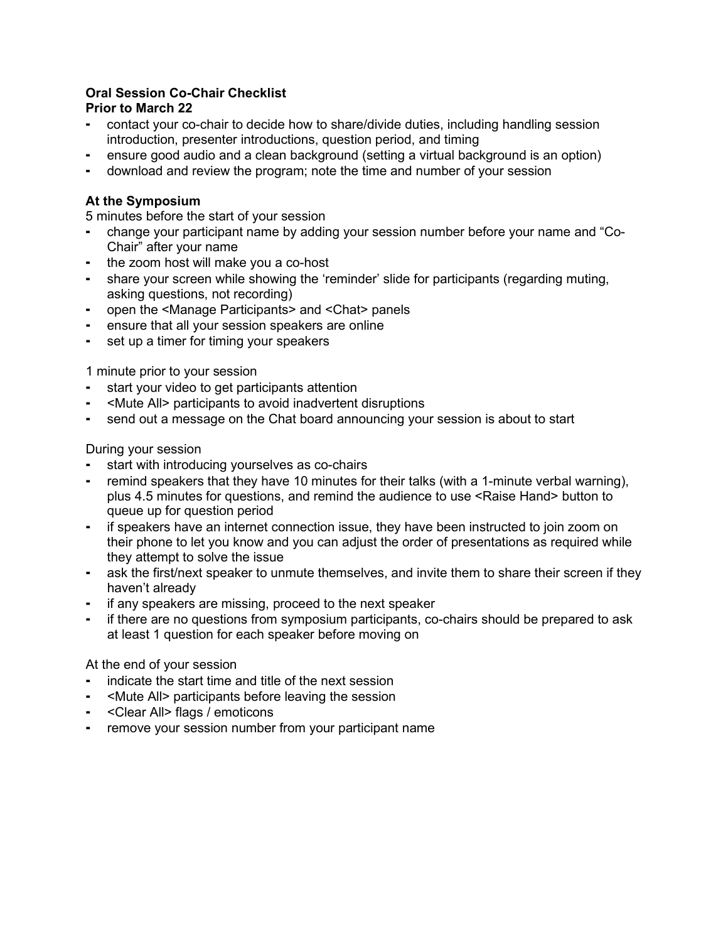## **Oral Session Co-Chair Checklist**

## **Prior to March 22**

- contact your co-chair to decide how to share/divide duties, including handling session introduction, presenter introductions, question period, and timing
- ensure good audio and a clean background (setting a virtual background is an option)
- download and review the program; note the time and number of your session

## **At the Symposium**

5 minutes before the start of your session

- change your participant name by adding your session number before your name and "Co-Chair" after your name
- the zoom host will make you a co-host
- share your screen while showing the 'reminder' slide for participants (regarding muting, asking questions, not recording)
- ⁃ open the <Manage Participants> and <Chat> panels
- ensure that all your session speakers are online
- set up a timer for timing your speakers

1 minute prior to your session

- start your video to get participants attention
- ⁃ <Mute All> participants to avoid inadvertent disruptions
- send out a message on the Chat board announcing your session is about to start

### During your session

- start with introducing yourselves as co-chairs
- remind speakers that they have 10 minutes for their talks (with a 1-minute verbal warning), plus 4.5 minutes for questions, and remind the audience to use <Raise Hand> button to queue up for question period
- ⁃ if speakers have an internet connection issue, they have been instructed to join zoom on their phone to let you know and you can adjust the order of presentations as required while they attempt to solve the issue
- ⁃ ask the first/next speaker to unmute themselves, and invite them to share their screen if they haven't already
- if any speakers are missing, proceed to the next speaker
- ⁃ if there are no questions from symposium participants, co-chairs should be prepared to ask at least 1 question for each speaker before moving on

# At the end of your session

- indicate the start time and title of the next session
- ⁃ <Mute All> participants before leaving the session
- ⁃ <Clear All> flags / emoticons
- ⁃ remove your session number from your participant name